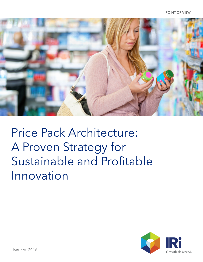

Price Pack Architecture: A Proven Strategy for Sustainable and Profitable Innovation

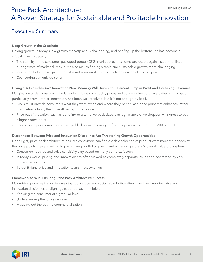## Executive Summary

### Keep Growth in the Crosshairs

Driving growth in today's low-growth marketplace is challenging, and beefing up the bottom line has become a critical growth strategy.

- The stability of the consumer packaged goods (CPG) market provides some protection against steep declines during times of market duress, but it also makes finding sizable and sustainable growth more challenging
- Innovation helps drive growth, but it is not reasonable to rely solely on new products for growth
- Cost-cutting can only go so far

### Giving "Outside-the-Box" Innovation New Meaning Will Drive 2 to 5 Percent Jump in Profit and Increasing Revenues

Margins are under pressure in the face of climbing commodity prices and conservative purchase patterns. Innovation, particularly premium-tier innovation, has been well received, but it is not enough by itself.

- CPGs must provide consumers what they want, when and where they want it, at a price point that enhances, rather than detracts from, their overall perception of value
- Price pack innovation, such as bundling or alternative pack sizes, can legitimately drive shopper willingness to pay a higher price point
- Recent price pack innovations have yielded premiums ranging from 84 percent to more than 200 percent

### Disconnects Between Price and Innovation Disciplines Are Threatening Growth Opportunities

Done right, price pack architecture ensures consumers can find a viable selection of products that meet their needs at the price points they are willing to pay, driving portfolio growth and enhancing a brand's overall value proposition.

- Consumers' desires and price sensitivity vary based on many complex factors
- In today's world, pricing and innovation are often viewed as completely separate issues and addressed by very different resources
- To get it right, price and innovation teams must synch up

#### Framework to Win: Ensuring Price Pack Architecture Success

Maximizing price realization in a way that builds true and sustainable bottom-line growth will require price and innovation disciplines to align against three key principles:

- Knowing the consumer at a granular level
- Understanding the full value case
- Mapping out the path to commercialization

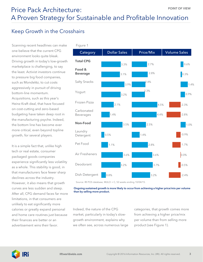## Keep Growth in the Crosshairs

Scanning recent headlines can make one believe that the current CPG environment looks quite bleak. Driving growth in today's low-growth marketplace is challenging, to say the least. Activist investors continue to pressure big food companies, such as Mondelēz, to cut costs aggressively in pursuit of driving bottom-line momentum. Acquisitions, such as this year's Heinz-Kraft deal, that have focused on cost-cutting and zero-based budgeting have taken deep root in the manufacturing psyche. Indeed, the bottom line has become ever more critical, even beyond topline growth, for several players.

It is a simple fact that, unlike high tech or real estate, consumer packaged goods companies experience significantly less volatility as a whole. This stability is good, in that manufacturers face fewer sharp declines across the industry. However, it also means that growth curves are less sudden and steep. After all, CPG demand faces far more limitations, in that consumers are unlikely to eat significantly more calories or greatly expand personal and home care routines just because their finances are better or an advertisement wins their favor.



Source: IRI POS database, MULO + C, 52 weeks ending 10/04/15.

Ongoing sustained growth is more likely to occur from achieving a higher price/mix per volume than by selling more product.

Indeed, the nature of the CPG market, particularly in today's slowgrowth environment, explains why we often see, across numerous large categories, that growth comes more from achieving a higher price/mix per volume than from selling more product (see Figure 1).

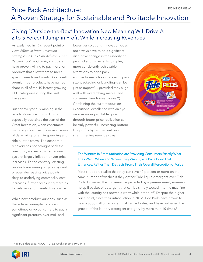## Giving "Outside-the-Box" Innovation New Meaning Will Drive A 2 to 5 Percent Jump in Profit While Increasing Revenues

As explained in IRI's recent point of view, *Effective Premiumization Strategies in CPG Can Achieve 10–15 Percent Topline Growth*, shoppers have proven willing to pay more for products that allow them to meet specific needs and wants. As a result, premium-tier products have gained share in all of the 10 fastest-growing CPG categories during the past five years.

But not everyone is winning in the race to drive premiums. This is especially true since the start of the Great Recession, when consumers made significant sacrifices in all areas of daily living to rein in spending and ride out the storm. The economic recovery has not brought back the previously well-established annual cycle of largely inflation-driven price increases. To the contrary, existing products are seeing largely stagnant or even decreasing price points despite underlying commodity cost increases, further pressuring margins for retailers and manufacturers alike.

While new product launches, such as the sidebar example here, can sometimes drive consumers to pay a significant premium over mid- and

lower-tier solutions, innovation does not always have to be a significant, disruptive change in the underlying product and its benefits. Simpler, more consistently achievable alterations to price pack architecture—such as changes in pack size, packaging or bundling—can be just as impactful, provided they align well with overarching market and consumer trends (see Figure 2). Combining the current focus on executional excellence with an eye on ever more profitable growth through better price realization can be truly powerful, increasing bottomline profits by 2–5 percent on a strengthening revenue stream.



### The Winners in Premiumization are Providing Consumers Exactly What They Want, When and Where They Want It, at a Price Point That Enhances, Rather Than Detracts From, Their Overall Perception of Value

Most shoppers realize that they can save 40 percent or more on the same number of washes if they opt for Tide liquid detergent over Tide Pods. However, the convenience provided by a premeasured, no-mess, no-spill packet of detergent that can be simply tossed into the machine with the laundry has proven a worthwhile trade-off. Despite the higher price point, since their introduction in 2012, Tide Pods have grown to nearly \$500 million in our annual tracked sales, and have outpaced the growth of the laundry detergent category by more than 10 times.<sup>1</sup>

<sup>1</sup> IRI POS database, MULO + C, 52 Weeks Ending 10/04/15

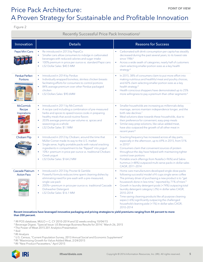# Price Pack Architecture: **Example 2018** POINT OF VIEW A Proven Strategy for Sustainable and Profitable Innovation

Figure 2

### Recently Successful Price Pack Innovations2

| Innovation                                 | <b>Details</b>                                                                                                                                                                                                                                                                                                                         | Reasons for Success                                                                                                                                                                                                                                                                                                                                                                                                                                                                                                                                                                       |
|--------------------------------------------|----------------------------------------------------------------------------------------------------------------------------------------------------------------------------------------------------------------------------------------------------------------------------------------------------------------------------------------|-------------------------------------------------------------------------------------------------------------------------------------------------------------------------------------------------------------------------------------------------------------------------------------------------------------------------------------------------------------------------------------------------------------------------------------------------------------------------------------------------------------------------------------------------------------------------------------------|
| Pepsi Mini Cans                            | Re-introduced in 2013 by PepsiCo<br>Smaller cans allow consumers to indulge in carbonated<br>beverages with reduced calories and sugar intake<br>100% premium in price per ounce vs. standard Pepsi cans<br>L52 Dollar Sales: \$40.5 MM                                                                                                | Carbonated soft drink consumption per capita has steadily<br>decreased during the past several years, to its lowest rate<br>since $19863$<br>Across a wide swath of categories, nearly half of customers<br>claim selecting smaller portion sizes as a key health<br>strategy <sup>4</sup>                                                                                                                                                                                                                                                                                                |
| <b>Perdue Perfect</b><br>Portions          | Introduced in 2014 by Perdue<br>$\bullet$<br>Individually wrapped boneless, skinless chicken breasts<br>$\bullet$<br>facilitating efforts for consumers to control portions<br>84% average premium over other Perdue packaged<br>$\bullet$<br>chicken<br>L52 Dollars Sales: \$90.6MM                                                   | In 2015, 38% of consumers claim to put more effort into<br>making nutritious and healthful meat and poultry choices,<br>and 42% claim selecting smaller portion sizes as a key<br>health strategy <sup>5</sup><br>Health conscious shoppers have demonstrated up to 25%<br>more willingness to pay a premium than other segments <sup>6</sup>                                                                                                                                                                                                                                             |
| <b>McCormick</b><br>Recipe<br>Inspirations | Introduced in 2011 by McCormick<br>A recipe card including a combination of pre-measured<br>٠<br>herbs and spices to speed novice cooks in preparing<br>healthy meals that avoid routine flavors<br>203% average premium per volume vs. spices and<br>$\bullet$<br>seasonings as a whole<br>L52 Dollar Sales: \$1.1MM                  | Smaller households are increasing as millennials delay<br>marriage, seniors maintain independence longer, and the<br>birth rate declines <sup>7</sup><br>Meal solutions skew towards these households, due to<br>their preference for convenient, easy-prep meals<br>Similar easy-prep solutions, like value-added meat,<br>have also outpaced the growth of all other meat in<br>recent years <sup>8</sup>                                                                                                                                                                               |
| Chobani Flip                               | Introduced in 2012 by Chobani, around the time that<br>Müller Corner made its way to the U.S. market<br>Single serve, highly portable packs with natural snacking<br>ingredients in compartment to be "flipped" into yogurt<br>10%+ premium in price per ounce vs. traditional Chobani<br>Greek yogurt<br>L52 Dollar Sales: \$164.2 MM | Snacking frequency has increased across all day parts,<br>especially in the afternoon, up to 69% in 2015, from 51%<br>in 2010 <sup>5</sup><br>Consumers claim that convenient sources of protein<br>$\bullet$<br>throughout the day have helped with maintaining tighter<br>control over portions<br>Portable snack offerings from Nutella (+96%) and Sabra<br>hummus (+48%) outpaced multi-serve packs in dollar sales<br>CAGR, 2011-2014                                                                                                                                                |
| Cascade Platinum<br><b>Action Pacs</b>     | Introduced in 2013 by Procter & Gamble<br>$\bullet$<br>Powerful formula reduces time spent cleaning dishes by<br>eliminating need for pre-wash with a pre-measured,<br>single-use pack<br>200%+ premium in price per ounce vs. traditional Cascade<br>Dishwasher Detergent<br>L52 Dollar Sales: \$16.1 MM                              | Home care manufacturers developed single-dose packs<br>following successful model of K-cups single serve coffee<br>The primary driver of purchasing a new product is to "get<br>housework done in less time," reported by 71% of triers <sup>9</sup><br>Growth in laundry detergent pods (+74%) outpacing total<br>laundry detergent category (-2%) in dollar sales CAGR,<br>2010-2014<br>Time-saving cleaning products like all purpose cleaning<br>$\bullet$<br>wipes (+6%) significantly outpacing the challenged<br>household cleaning aisle (+1%) in dollar sales CAGR,<br>2010-2014 |

#### Recent innovations have leveraged innovative packaging and pricing strategies to yield premiums ranging from 84 percent to more than 200 percent.

<sup>2</sup> IRI POS database, MULO + C, CY 2010–2014 and 52 weeks ending 10/04/15

- <sup>3</sup> Beverage Digest, "Special Issue: US Beverage Business Results for 2014," March 26, 2015
- 4 The Power of Meat 2015 201 Analytics Presentation
- <sup>5</sup> Ibid
- 6 IRI Analysis
- <sup>7</sup> U.S. Census, "Current Population Survey, 2013 Annual Social and Economic Supplement"
- 8 IRI "Maximizing Growth for Value-Added Meat, 2/24/2015

9 IRI "New Product Pacesetters," April 2015

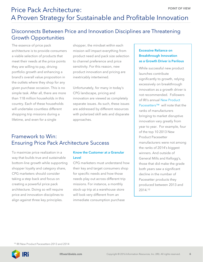## Disconnects Between Price and Innovation Disciplines are Threatening Growth Opportunities

The essence of price pack architecture is to provide consumers a viable selection of products that meet their needs at the price points they are willing to pay, driving portfolio growth and enhancing a brand's overall value proposition in the outlets where they shop for any given purchase occasion. This is no simple task. After all, there are more than 118 million households in this country. Each of these households will undertake countless different shopping trip missions during a lifetime, and even for a single

shopper, the mindset within each mission will impact everything from product need and pack size selection to channel preference and price sensitivity. For this reason, new product innovation and pricing are inextricably intertwined.

Unfortunately, for many in today's CPG landscape, pricing and innovation are viewed as completely separate issues. As such, these issues are addressed by different resources with polarized skill sets and disparate approaches.

### Framework to Win: Ensuring Price Pack Architecture Success

To maximize price realization in a way that builds true and sustainable bottom-line growth while supporting shopper loyalty and category share, CPG marketers should consider taking a step back and focus on creating a powerful price pack architecture. Doing so will require price and innovation disciplines to align against three key principles.

### Know the Customer at a Granular Level

CPG marketers must understand how their key and target consumers shop for specific needs and how those needs play out across different trip missions. For instance, a monthly stock-up trip at a warehouse store will look very different from an immediate consumption purchase

### Excessive Reliance on Breakthrough Innovation as a Growth Driver is Perilous

While successful new product launches contribute significantly to growth, relying excessively on breakthrough innovation as a growth driver is not recommended. Followers of IRI's annual New Product Pacesetters™ will note that the ranks of manufacturers bringing to market disruptive innovation vary greatly from year to year. For example, four of the top 10 2013 New Product Pacesetter manufacturers were not among the ranks of 2014's biggest winners. And outside of General Mills and Kellogg's, those that did make the grade both years saw a significant decline in the number of Pacesetter products they produced between 2013 and 2014.10

<sup>10</sup> IRI New Product Pacesetters 2013 and 2014

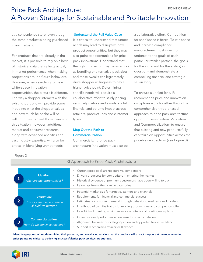at a convenience store, even though the same product is being purchased in each situation.

For products that are already in the market, it is possible to rely on a host of historical data that reflects actual, in-market performance when making projections around future behaviors. However, when searching for new white-space innovation opportunities, the picture is different. The way a shopper interacts with the existing portfolio will provide some input into what the shopper values and how much he or she will be willing to pay to meet those needs. In this situation, however, additional market and consumer research, along with advanced analytics and vast industry expertise, will also be critical in identifying unmet needs.

#### Understand the Full Value Case

It is critical to understand that unmet needs may lead to disruptive new product opportunities, but they may also point to opportunities for price pack innovations. Understand that the right innovation may be as simple as bundling or alternative pack sizes and these tweaks can legitimately drive shopper willingness to pay a higher price point. Determining specific needs will require a collaborative effort to study pricing sensitivity metrics and simulate a full financial and volume impact across retailers, product lines and customer types.

### Map Out the Path to Commercialization

Commercializing price pack architecture innovation must also be

IRI Approach to Price Pack Architecture

a collaborative effort. Competition for shelf space is fierce. To win space and increase compliance, manufacturers must invest to understand the goals of each particular retailer partner—the goals for the store and for the aisle(s) in question—and demonstrate a compelling financial and strategic sell-in story.

To ensure a unified lens, IRI recommends price and innovation disciplines work together through a comprehensive three-phased approach to price pack architecture opportunities—Ideation, Validation, and Commercialization—to ensure that existing and new products fully capitalize on opportunities across the price/value spectrum (see Figure 3).

Figure 3

| Ideation:<br>1<br>What are the opportunities?                                           | Current price pack architecture vs. competitors<br>$\bullet$<br>Drivers of success for competitors in entering the market<br>$\bullet$<br>Historical evidence of premiums customers have been willing to pay<br>$\bullet$<br>Learnings from other, similar categories<br>٠                                                                                                                     |
|-----------------------------------------------------------------------------------------|------------------------------------------------------------------------------------------------------------------------------------------------------------------------------------------------------------------------------------------------------------------------------------------------------------------------------------------------------------------------------------------------|
| <b>Validation:</b><br>$\overline{2}$<br>How big are they and which<br>should we pursue? | Potential market size for target customers and channels<br>$\bullet$<br>Requirements for financial and commercial success<br>٠<br>Estimates of consumer demand through behavior-based tests and models<br>$\bullet$<br>Likelihood of cannibalization for existing products we and competitors offer<br>$\bullet$<br>Feasibility of meeting minimum success criteria and contingency plans<br>٠ |
| <b>Commercialization:</b><br>3<br>How do we convince retailers?                         | Objectives and performance concerns for specific retailers<br>$\bullet$<br>Alignment between our category vision and opportunities vs. retailers<br>$\bullet$<br>Support mechanisms retailers will expect<br>$\bullet$                                                                                                                                                                         |

Identifying opportunities, determining their potential, and convincing retailers that the products will attract shoppers at the recommended price points are critical to achieving a successful price pack architecture strategy.

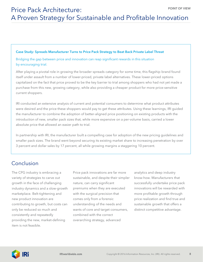#### Case Study: Spreads Manufacturer Turns to Price Pack Strategy to Beat Back Private Label Threat

Bridging the gap between price and innovation can reap significant rewards in this situation by encouraging trial.

After playing a pivotal role in growing the broader spreads category for some time, this flagship brand found itself under assault from a number of lower-priced, private label alternatives. These lower-priced options capitalized on the fact that price proved to be the key barrier to trial among shoppers who had not yet made a purchase from this new, growing category, while also providing a cheaper product for more price-sensitive current shoppers.

IRI conducted an extensive analysis of current and potential consumers to determine what product attributes were desired and the price these shoppers would pay to get these attributes. Using these learnings, IRI guided the manufacturer to combine the adoption of better-aligned price positioning on existing products with the introduction of new, smaller pack sizes that, while more expensive on a per-volume basis, carried a lower absolute price that allowed an easier path to trial.

In partnership with IRI, the manufacturer built a compelling case for adoption of the new pricing guidelines and smaller pack sizes. The brand went beyond securing its existing market share to increasing penetration by over 3 percent and dollar sales by 17 percent, all while growing margins a staggering 10 percent.

## Conclusion

The CPG industry is embracing a variety of strategies to carve out growth in the face of challenging industry dynamics and a slow-growth marketplace. Belt-tightening and new product innovation are contributing to growth, but costs can only be reduced so much and consistently and repeatedly providing the new, market-defining item is not feasible.

Price pack innovations are far more sustainable, and despite their simpler nature, can carry significant premiums when they are executed with the surgical precision that comes only from a forensic understanding of the needs and wants of core and target consumers, combined with the correct overarching strategy, advanced

analytics and deep industry know-how. Manufacturers that successfully undertake price pack innovations will be rewarded with more profitable growth through price realization and find true and sustainable growth that offers a distinct competitive advantage.

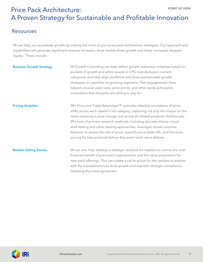### Resources

IRI can help you accelerate growth by making the most of your price pack architecture strategies. Our approach and capabilities will generate significant revenue increases, drive market share growth and foster increased shopper loyalty. These include:

| <b>Business Growth Strategy</b> | IRI Growth Consulting can help define growth realization initiatives based on<br>pockets of growth and white spaces in CPG manufacturers' current<br>categories and help align portfolios and drive sophisticated growth<br>strategies to capitalize on growing segments. Past engagements have<br>helped uncover pack sizes, price points, and other easily achievable<br>innovations that shoppers are willing to pay for.                                                                                                                              |
|---------------------------------|-----------------------------------------------------------------------------------------------------------------------------------------------------------------------------------------------------------------------------------------------------------------------------------------------------------------------------------------------------------------------------------------------------------------------------------------------------------------------------------------------------------------------------------------------------------|
| <b>Pricing Analytics</b>        | IRI's Price and Trade Advantage™ provides detailed simulations of price<br>shifts across each retailer's full category, capturing not only the impact on the<br>items receiving a price change, but across all related products. Additionally,<br>IRI's host of primary research methods, including discrete choice, virtual<br>shelf testing and other leading approaches, leverages actual customer<br>behavior to assess the role of price, quantify price trade-offs, and fine-tune<br>pricing for new products before they even reach store shelves. |
| <b>Retailer Selling Stories</b> | IRI can also help develop a strategic storyline for retailers to convey the total<br>financial benefit of price pack opportunities and the value proposition for<br>new pack offerings. This can create a call to action for the retailers to partner<br>with the manufacturers to drive growth and maintain stronger compliance<br>following the initial agreement.                                                                                                                                                                                      |